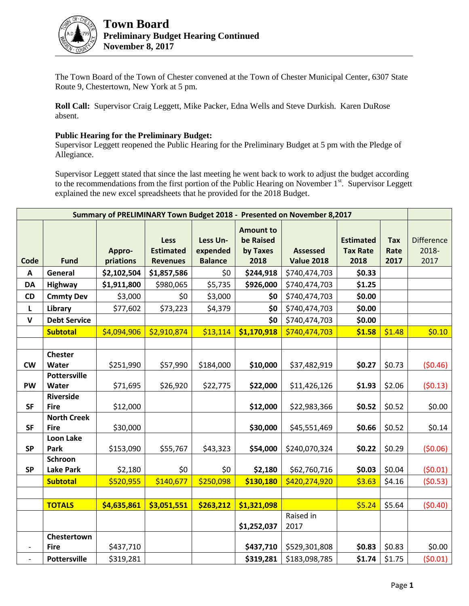

The Town Board of the Town of Chester convened at the Town of Chester Municipal Center, 6307 State Route 9, Chestertown, New York at 5 pm.

**Roll Call:** Supervisor Craig Leggett, Mike Packer, Edna Wells and Steve Durkish. Karen DuRose absent.

## **Public Hearing for the Preliminary Budget:**

Supervisor Leggett reopened the Public Hearing for the Preliminary Budget at 5 pm with the Pledge of Allegiance.

Supervisor Leggett stated that since the last meeting he went back to work to adjust the budget according to the recommendations from the first portion of the Public Hearing on November 1<sup>st</sup>. Supervisor Leggett explained the new excel spreadsheets that he provided for the 2018 Budget.

| Summary of PRELIMINARY Town Budget 2018 - Presented on November 8,2017 |                                   |                     |                                                    |                                        |                                                   |                                      |                                             |                            |                                    |
|------------------------------------------------------------------------|-----------------------------------|---------------------|----------------------------------------------------|----------------------------------------|---------------------------------------------------|--------------------------------------|---------------------------------------------|----------------------------|------------------------------------|
| Code                                                                   | <b>Fund</b>                       | Appro-<br>priations | <b>Less</b><br><b>Estimated</b><br><b>Revenues</b> | Less Un-<br>expended<br><b>Balance</b> | <b>Amount to</b><br>be Raised<br>by Taxes<br>2018 | <b>Assessed</b><br><b>Value 2018</b> | <b>Estimated</b><br><b>Tax Rate</b><br>2018 | <b>Tax</b><br>Rate<br>2017 | <b>Difference</b><br>2018-<br>2017 |
| A                                                                      | General                           | \$2,102,504         | \$1,857,586                                        | \$0                                    | \$244,918                                         | \$740,474,703                        | \$0.33                                      |                            |                                    |
| <b>DA</b>                                                              | Highway                           | \$1,911,800         | \$980,065                                          | \$5,735                                | \$926,000                                         | \$740,474,703                        | \$1.25                                      |                            |                                    |
| CD                                                                     | <b>Cmmty Dev</b>                  | \$3,000             | \$0                                                | \$3,000                                | \$0                                               | \$740,474,703                        | \$0.00                                      |                            |                                    |
| L                                                                      | Library                           | \$77,602            | \$73,223                                           | \$4,379                                | \$0                                               | \$740,474,703                        | \$0.00                                      |                            |                                    |
| $\mathsf{V}$                                                           | <b>Debt Service</b>               |                     |                                                    |                                        | \$0                                               | \$740,474,703                        | \$0.00                                      |                            |                                    |
|                                                                        | <b>Subtotal</b>                   | \$4,094,906         | \$2,910,874                                        | \$13,114                               | \$1,170,918                                       | \$740,474,703                        | \$1.58                                      | \$1.48                     | \$0.10                             |
|                                                                        |                                   |                     |                                                    |                                        |                                                   |                                      |                                             |                            |                                    |
| <b>CW</b>                                                              | <b>Chester</b><br>Water           | \$251,990           | \$57,990                                           | \$184,000                              | \$10,000                                          | \$37,482,919                         | \$0.27                                      | \$0.73                     | (50.46)                            |
| <b>PW</b>                                                              | <b>Pottersville</b><br>Water      | \$71,695            | \$26,920                                           | \$22,775                               | \$22,000                                          | \$11,426,126                         | \$1.93                                      | \$2.06                     | (50.13)                            |
|                                                                        | <b>Riverside</b>                  |                     |                                                    |                                        |                                                   |                                      |                                             |                            |                                    |
| <b>SF</b>                                                              | <b>Fire</b>                       | \$12,000            |                                                    |                                        | \$12,000                                          | \$22,983,366                         | \$0.52                                      | \$0.52                     | \$0.00                             |
| <b>SF</b>                                                              | <b>North Creek</b><br><b>Fire</b> | \$30,000            |                                                    |                                        | \$30,000                                          | \$45,551,469                         | \$0.66                                      | \$0.52                     | \$0.14                             |
| <b>SP</b>                                                              | <b>Loon Lake</b><br>Park          | \$153,090           | \$55,767                                           | \$43,323                               | \$54,000                                          | \$240,070,324                        | \$0.22                                      | \$0.29                     | (50.06)                            |
|                                                                        | Schroon                           |                     |                                                    |                                        |                                                   |                                      |                                             |                            |                                    |
| <b>SP</b>                                                              | <b>Lake Park</b>                  | \$2,180             | \$0                                                | \$0                                    | \$2,180                                           | \$62,760,716                         | \$0.03                                      | \$0.04                     | (50.01)                            |
|                                                                        | <b>Subtotal</b>                   | \$520,955           | \$140,677                                          | \$250,098                              | \$130,180                                         | \$420,274,920                        | \$3.63                                      | \$4.16                     | (50.53)                            |
|                                                                        |                                   |                     |                                                    |                                        |                                                   |                                      |                                             |                            |                                    |
|                                                                        | <b>TOTALS</b>                     | \$4,635,861         | \$3,051,551                                        | \$263,212                              | \$1,321,098                                       |                                      | \$5.24                                      | \$5.64                     | (50.40)                            |
|                                                                        |                                   |                     |                                                    |                                        | \$1,252,037                                       | Raised in<br>2017                    |                                             |                            |                                    |
| $\overline{\phantom{a}}$                                               | Chestertown<br><b>Fire</b>        | \$437,710           |                                                    |                                        | \$437,710                                         | \$529,301,808                        | \$0.83                                      | \$0.83                     | \$0.00                             |
|                                                                        | <b>Pottersville</b>               | \$319,281           |                                                    |                                        | \$319,281                                         | \$183,098,785                        | \$1.74                                      | \$1.75                     | (50.01)                            |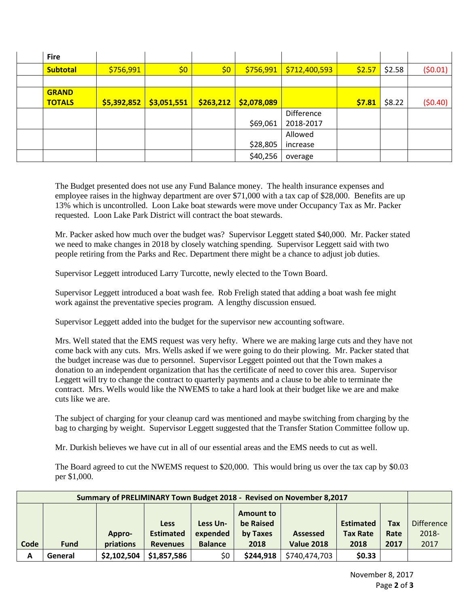| <b>Fire</b>     |             |             |           |             |               |        |        |         |
|-----------------|-------------|-------------|-----------|-------------|---------------|--------|--------|---------|
| <b>Subtotal</b> | \$756,991   | \$0         | \$0\$     | \$756,991   | \$712,400,593 | \$2.57 | \$2.58 | (50.01) |
|                 |             |             |           |             |               |        |        |         |
| <b>GRAND</b>    |             |             |           |             |               |        |        |         |
| <b>TOTALS</b>   | \$5,392,852 | \$3,051,551 | \$263,212 | \$2,078,089 |               | \$7.81 | \$8.22 | (50.40) |
|                 |             |             |           |             | Difference    |        |        |         |
|                 |             |             |           | \$69,061    | 2018-2017     |        |        |         |
|                 |             |             |           |             | Allowed       |        |        |         |
|                 |             |             |           | \$28,805    | increase      |        |        |         |
|                 |             |             |           | \$40,256    | overage       |        |        |         |

The Budget presented does not use any Fund Balance money. The health insurance expenses and employee raises in the highway department are over \$71,000 with a tax cap of \$28,000. Benefits are up 13% which is uncontrolled. Loon Lake boat stewards were move under Occupancy Tax as Mr. Packer requested. Loon Lake Park District will contract the boat stewards.

Mr. Packer asked how much over the budget was? Supervisor Leggett stated \$40,000. Mr. Packer stated we need to make changes in 2018 by closely watching spending. Supervisor Leggett said with two people retiring from the Parks and Rec. Department there might be a chance to adjust job duties.

Supervisor Leggett introduced Larry Turcotte, newly elected to the Town Board.

Supervisor Leggett introduced a boat wash fee. Rob Freligh stated that adding a boat wash fee might work against the preventative species program. A lengthy discussion ensued.

Supervisor Leggett added into the budget for the supervisor new accounting software.

Mrs. Well stated that the EMS request was very hefty. Where we are making large cuts and they have not come back with any cuts. Mrs. Wells asked if we were going to do their plowing. Mr. Packer stated that the budget increase was due to personnel. Supervisor Leggett pointed out that the Town makes a donation to an independent organization that has the certificate of need to cover this area. Supervisor Leggett will try to change the contract to quarterly payments and a clause to be able to terminate the contract. Mrs. Wells would like the NWEMS to take a hard look at their budget like we are and make cuts like we are.

The subject of charging for your cleanup card was mentioned and maybe switching from charging by the bag to charging by weight. Supervisor Leggett suggested that the Transfer Station Committee follow up.

Mr. Durkish believes we have cut in all of our essential areas and the EMS needs to cut as well.

The Board agreed to cut the NWEMS request to \$20,000. This would bring us over the tax cap by \$0.03 per \$1,000.

| Summary of PRELIMINARY Town Budget 2018 - Revised on November 8,2017 |             |             |                  |                |                  |                   |                  |            |                   |
|----------------------------------------------------------------------|-------------|-------------|------------------|----------------|------------------|-------------------|------------------|------------|-------------------|
|                                                                      |             |             |                  |                | <b>Amount to</b> |                   |                  |            |                   |
|                                                                      |             |             | <b>Less</b>      | Less Un-       | be Raised        |                   | <b>Estimated</b> | <b>Tax</b> | <b>Difference</b> |
|                                                                      |             | Appro-      | <b>Estimated</b> | expended       | by Taxes         | <b>Assessed</b>   | <b>Tax Rate</b>  | Rate       | 2018-             |
| Code                                                                 | <b>Fund</b> | priations   | <b>Revenues</b>  | <b>Balance</b> | 2018             | <b>Value 2018</b> | 2018             | 2017       | 2017              |
|                                                                      |             |             |                  |                |                  |                   |                  |            |                   |
| A                                                                    | General     | \$2,102,504 | \$1,857,586      | \$0            | \$244,918        | \$740,474,703     | \$0.33           |            |                   |